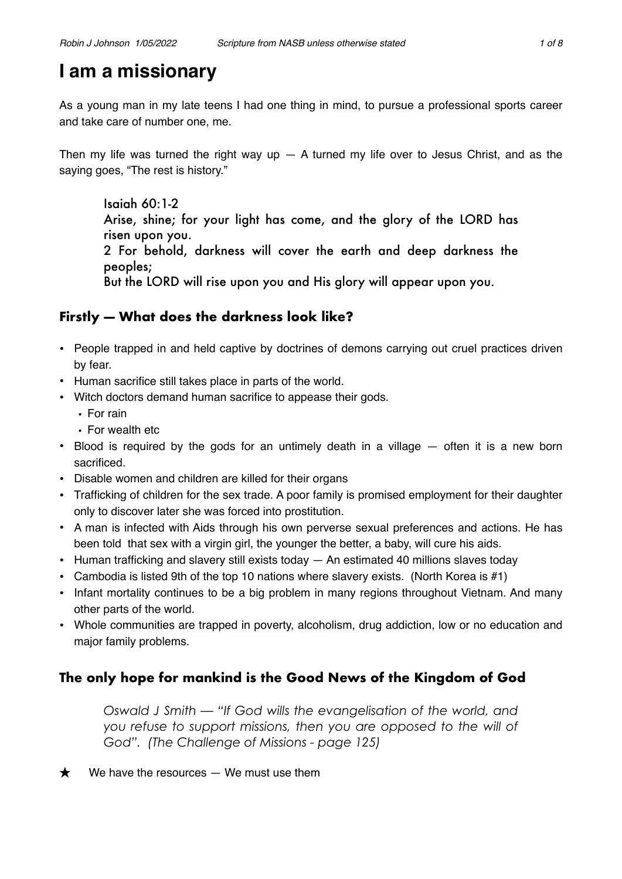# **I am a missionary**

As a young man in my late teens I had one thing in mind, to pursue a professional sports career and take care of number one, me.

Then my life was turned the right way up  $-$  A turned my life over to Jesus Christ, and as the saying goes, "The rest is history."

Isaiah 60:1-2 Arise, shine; for your light has come, and the glory of the LORD has risen upon you. 2 For behold, darkness will cover the earth and deep darkness the peoples; But the LORD will rise upon you and His glory will appear upon you.

# **Firstly — What does the darkness look like?**

- People trapped in and held captive by doctrines of demons carrying out cruel practices driven by fear.
- Human sacrifice still takes place in parts of the world.
- Witch doctors demand human sacrifice to appease their gods.
	- For rain
	- For wealth etc
- Blood is required by the gods for an untimely death in a village often it is a new born sacrificed.
- Disable women and children are killed for their organs
- Trafficking of children for the sex trade. A poor family is promised employment for their daughter only to discover later she was forced into prostitution.
- A man is infected with Aids through his own perverse sexual preferences and actions. He has been told that sex with a virgin girl, the younger the better, a baby, will cure his aids.
- Human trafficking and slavery still exists today An estimated 40 millions slaves today
- Cambodia is listed 9th of the top 10 nations where slavery exists. (North Korea is  $#1$ )
- Infant mortality continues to be a big problem in many regions throughout Vietnam. And many other parts of the world.
- Whole communities are trapped in poverty, alcoholism, drug addiction, low or no education and major family problems.

# **The only hope for mankind is the Good News of the Kingdom of God**

*Oswald J Smith — "If God wills the evangelisation of the world, and you refuse to support missions, then you are opposed to the will of God". (The Challenge of Missions - page 125)*

 $\bigstar$  We have the resources  $-$  We must use them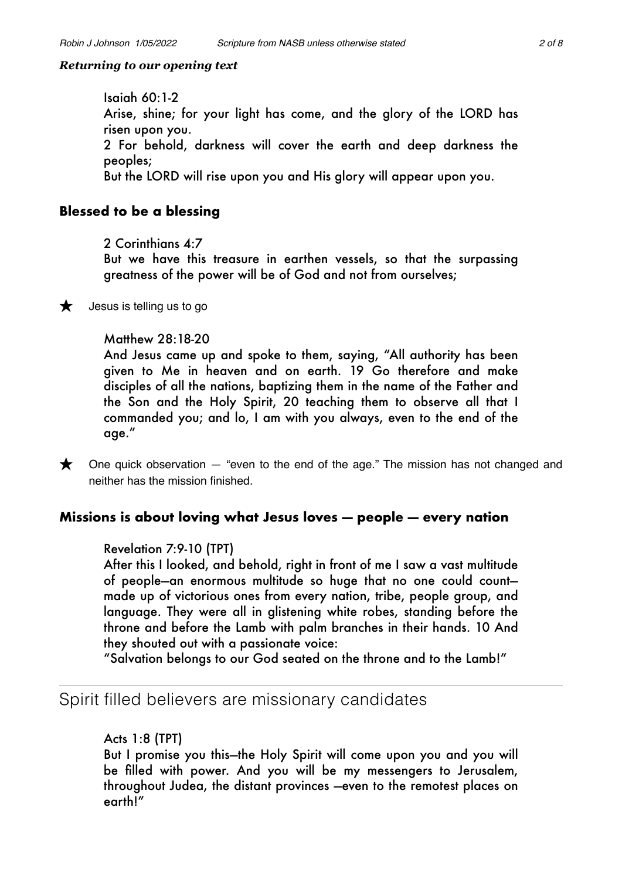# *Returning to our opening text*

Isaiah 60:1-2 Arise, shine; for your light has come, and the glory of the LORD has risen upon you. 2 For behold, darkness will cover the earth and deep darkness the peoples; But the LORD will rise upon you and His glory will appear upon you.

# **Blessed to be a blessing**

2 Corinthians 4:7

But we have this treasure in earthen vessels, so that the surpassing greatness of the power will be of God and not from ourselves;



 $\bigstar$  Jesus is telling us to go

# Matthew 28:18-20

And Jesus came up and spoke to them, saying, "All authority has been given to Me in heaven and on earth. 19 Go therefore and make disciples of all the nations, baptizing them in the name of the Father and the Son and the Holy Spirit, 20 teaching them to observe all that I commanded you; and lo, I am with you always, even to the end of the age."

 $\bigstar$  One quick observation  $-$  "even to the end of the age." The mission has not changed and neither has the mission finished.

# **Missions is about loving what Jesus loves — people — every nation**

# Revelation 7:9-10 (TPT)

After this I looked, and behold, right in front of me I saw a vast multitude of people—an enormous multitude so huge that no one could count made up of victorious ones from every nation, tribe, people group, and language. They were all in glistening white robes, standing before the throne and before the Lamb with palm branches in their hands. 10 And they shouted out with a passionate voice:

"Salvation belongs to our God seated on the throne and to the Lamb!"

# Spirit filled believers are missionary candidates

# Acts 1:8 (TPT)

But I promise you this—the Holy Spirit will come upon you and you will be filled with power. And you will be my messengers to Jerusalem, throughout Judea, the distant provinces —even to the remotest places on earth!"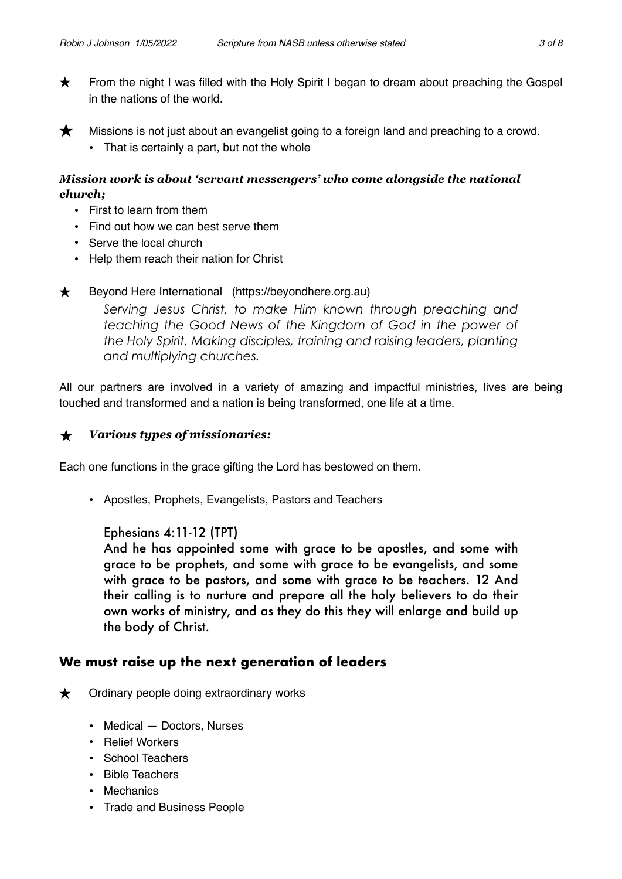- ★ From the night I was filled with the Holy Spirit I began to dream about preaching the Gospel in the nations of the world.
- $\bigstar$  Missions is not just about an evangelist going to a foreign land and preaching to a crowd. • That is certainly a part, but not the whole

### *Mission work is about 'servant messengers' who come alongside the national church;*

- First to learn from them
- Find out how we can best serve them
- Serve the local church
- Help them reach their nation for Christ

### ★ Beyond Here International (<https://beyondhere.org.au>)

*Serving Jesus Christ, to make Him known through preaching and teaching the Good News of the Kingdom of God in the power of the Holy Spirit. Making disciples, training and raising leaders, planting and multiplying churches.*

All our partners are involved in a variety of amazing and impactful ministries, lives are being touched and transformed and a nation is being transformed, one life at a time.

#### **★** *Various types of missionaries:*

Each one functions in the grace gifting the Lord has bestowed on them.

• Apostles, Prophets, Evangelists, Pastors and Teachers

### Ephesians 4:11-12 (TPT)

And he has appointed some with grace to be apostles, and some with grace to be prophets, and some with grace to be evangelists, and some with grace to be pastors, and some with grace to be teachers. 12 And their calling is to nurture and prepare all the holy believers to do their own works of ministry, and as they do this they will enlarge and build up the body of Christ.

### **We must raise up the next generation of leaders**

- $\bigstar$  Ordinary people doing extraordinary works
	- Medical Doctors, Nurses
	- Relief Workers
	- School Teachers
	- Bible Teachers
	- Mechanics
	- Trade and Business People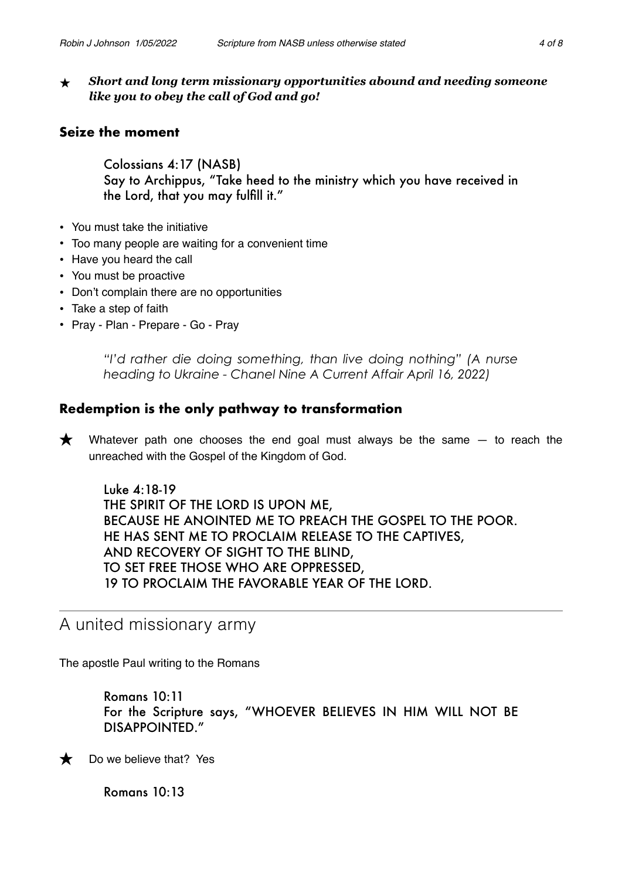**★** *Short and long term missionary opportunities abound and needing someone like you to obey the call of God and go!*

# **Seize the moment**

Colossians 4:17 (NASB) Say to Archippus, "Take heed to the ministry which you have received in the Lord, that you may fulfill it."

- You must take the initiative
- Too many people are waiting for a convenient time
- Have you heard the call
- You must be proactive
- Don't complain there are no opportunities
- Take a step of faith
- Pray Plan Prepare Go Pray

*"I'd rather die doing something, than live doing nothing" (A nurse heading to Ukraine - Chanel Nine A Current Affair April 16, 2022)*

# **Redemption is the only pathway to transformation**

 $\bigstar$  Whatever path one chooses the end goal must always be the same  $-$  to reach the unreached with the Gospel of the Kingdom of God.

Luke 4:18-19 THE SPIRIT OF THE LORD IS UPON ME, BECAUSE HE ANOINTED ME TO PREACH THE GOSPEL TO THE POOR. HE HAS SENT ME TO PROCLAIM RELEASE TO THE CAPTIVES, AND RECOVERY OF SIGHT TO THE BLIND, TO SET FREE THOSE WHO ARE OPPRESSED, 19 TO PROCLAIM THE FAVORABLE YEAR OF THE LORD.

# A united missionary army

The apostle Paul writing to the Romans

Romans 10:11 For the Scripture says, "WHOEVER BELIEVES IN HIM WILL NOT BE DISAPPOINTED."



 $\bigstar$  Do we believe that? Yes

Romans 10:13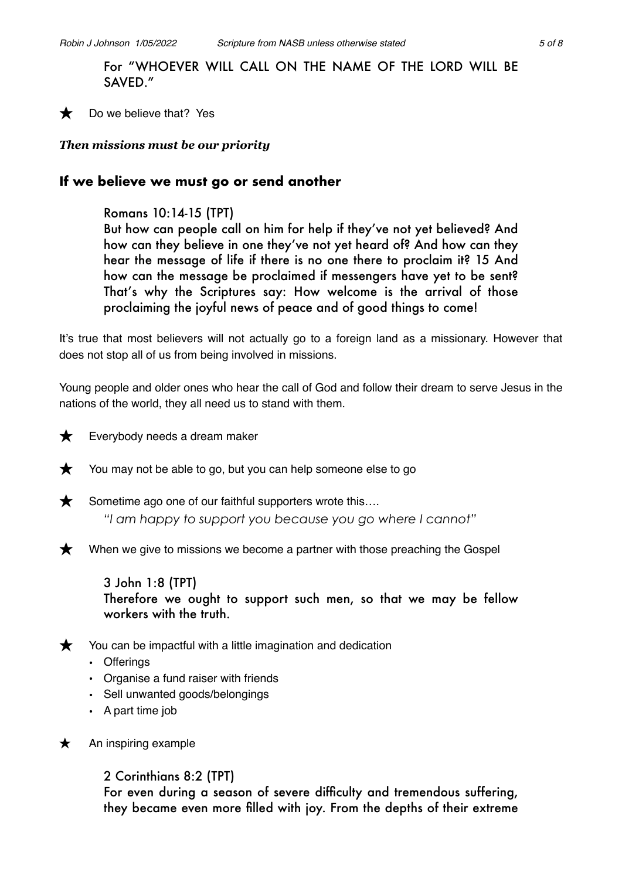For "WHOEVER WILL CALL ON THE NAME OF THE LORD WILL BE SAVED."

 $\bigstar$  Do we believe that? Yes

### *Then missions must be our priority*

# **If we believe we must go or send another**

Romans 10:14-15 (TPT)

But how can people call on him for help if they've not yet believed? And how can they believe in one they've not yet heard of? And how can they hear the message of life if there is no one there to proclaim it? 15 And how can the message be proclaimed if messengers have yet to be sent? That's why the Scriptures say: How welcome is the arrival of those proclaiming the joyful news of peace and of good things to come!

It's true that most believers will not actually go to a foreign land as a missionary. However that does not stop all of us from being involved in missions.

Young people and older ones who hear the call of God and follow their dream to serve Jesus in the nations of the world, they all need us to stand with them.



 $\bigstar$  Everybody needs a dream maker

 $\bigstar$  You may not be able to go, but you can help someone else to go



 $\bigstar$  Sometime ago one of our faithful supporters wrote this.... *"I am happy to support you because you go where I cannot"*



When we give to missions we become a partner with those preaching the Gospel

3 John 1:8 (TPT) Therefore we ought to support such men, so that we may be fellow workers with the truth.

 $\bigstar$  You can be impactful with a little imagination and dedication

- Offerings
- Organise a fund raiser with friends
- Sell unwanted goods/belongings
- A part time job
- $\star$  An inspiring example

2 Corinthians 8:2 (TPT)

For even during a season of severe difficulty and tremendous suffering, they became even more filled with joy. From the depths of their extreme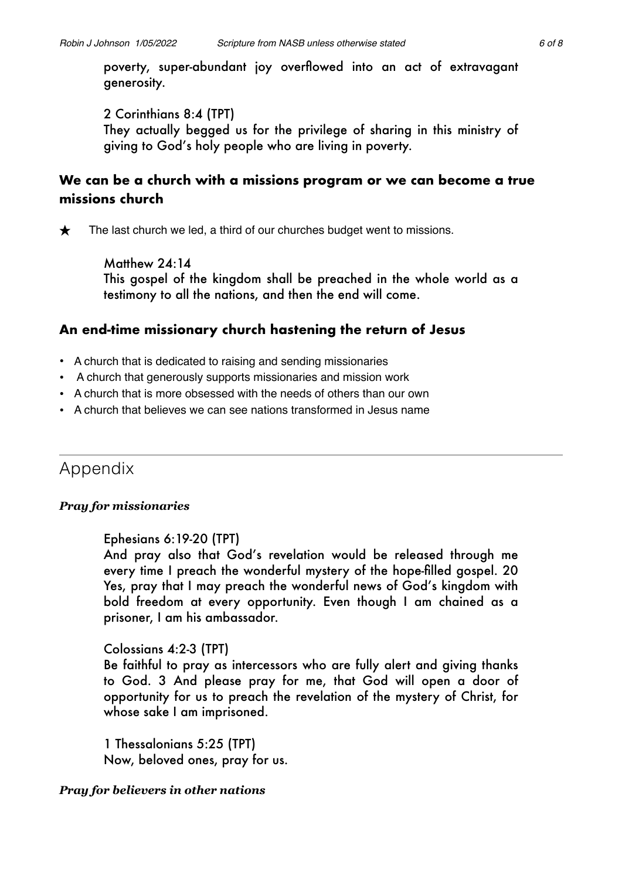poverty, super-abundant joy overflowed into an act of extravagant generosity.

2 Corinthians 8:4 (TPT)

They actually begged us for the privilege of sharing in this ministry of giving to God's holy people who are living in poverty.

# **We can be a church with a missions program or we can become a true missions church**

 $\bigstar$  The last church we led, a third of our churches budget went to missions.

Matthew 24:14 This gospel of the kingdom shall be preached in the whole world as a testimony to all the nations, and then the end will come.

# **An end-time missionary church hastening the return of Jesus**

- A church that is dedicated to raising and sending missionaries
- A church that generously supports missionaries and mission work
- A church that is more obsessed with the needs of others than our own
- A church that believes we can see nations transformed in Jesus name

# Appendix

# *Pray for missionaries*

# Ephesians 6:19-20 (TPT)

And pray also that God's revelation would be released through me every time I preach the wonderful mystery of the hope-filled gospel. 20 Yes, pray that I may preach the wonderful news of God's kingdom with bold freedom at every opportunity. Even though I am chained as a prisoner, I am his ambassador.

# Colossians 4:2-3 (TPT)

Be faithful to pray as intercessors who are fully alert and giving thanks to God. 3 And please pray for me, that God will open a door of opportunity for us to preach the revelation of the mystery of Christ, for whose sake I am imprisoned.

1 Thessalonians 5:25 (TPT) Now, beloved ones, pray for us.

# *Pray for believers in other nations*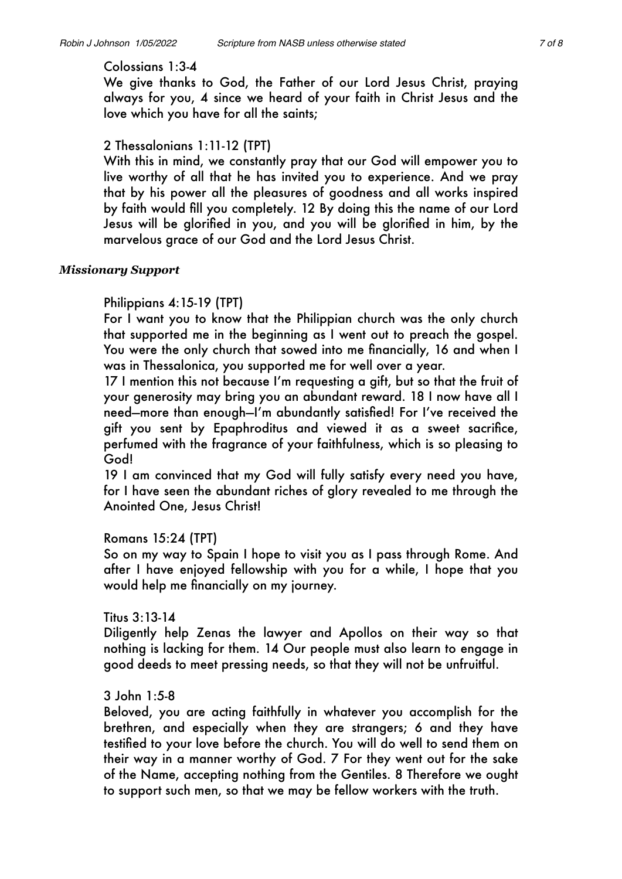#### Colossians 1:3-4

We give thanks to God, the Father of our Lord Jesus Christ, praying always for you, 4 since we heard of your faith in Christ Jesus and the love which you have for all the saints;

### 2 Thessalonians 1:11-12 (TPT)

With this in mind, we constantly pray that our God will empower you to live worthy of all that he has invited you to experience. And we pray that by his power all the pleasures of goodness and all works inspired by faith would fill you completely. 12 By doing this the name of our Lord Jesus will be glorified in you, and you will be glorified in him, by the marvelous grace of our God and the Lord Jesus Christ.

#### *Missionary Support*

### Philippians 4:15-19 (TPT)

For I want you to know that the Philippian church was the only church that supported me in the beginning as I went out to preach the gospel. You were the only church that sowed into me financially, 16 and when I was in Thessalonica, you supported me for well over a year.

17 I mention this not because I'm requesting a gift, but so that the fruit of your generosity may bring you an abundant reward. 18 I now have all I need—more than enough—I'm abundantly satisfied! For I've received the gift you sent by Epaphroditus and viewed it as a sweet sacrifice, perfumed with the fragrance of your faithfulness, which is so pleasing to God!

19 I am convinced that my God will fully satisfy every need you have, for I have seen the abundant riches of glory revealed to me through the Anointed One, Jesus Christ!

### Romans 15:24 (TPT)

So on my way to Spain I hope to visit you as I pass through Rome. And after I have enjoyed fellowship with you for a while, I hope that you would help me financially on my journey.

### Titus 3:13-14

Diligently help Zenas the lawyer and Apollos on their way so that nothing is lacking for them. 14 Our people must also learn to engage in good deeds to meet pressing needs, so that they will not be unfruitful.

### 3 John 1:5-8

Beloved, you are acting faithfully in whatever you accomplish for the brethren, and especially when they are strangers; 6 and they have testified to your love before the church. You will do well to send them on their way in a manner worthy of God. 7 For they went out for the sake of the Name, accepting nothing from the Gentiles. 8 Therefore we ought to support such men, so that we may be fellow workers with the truth.